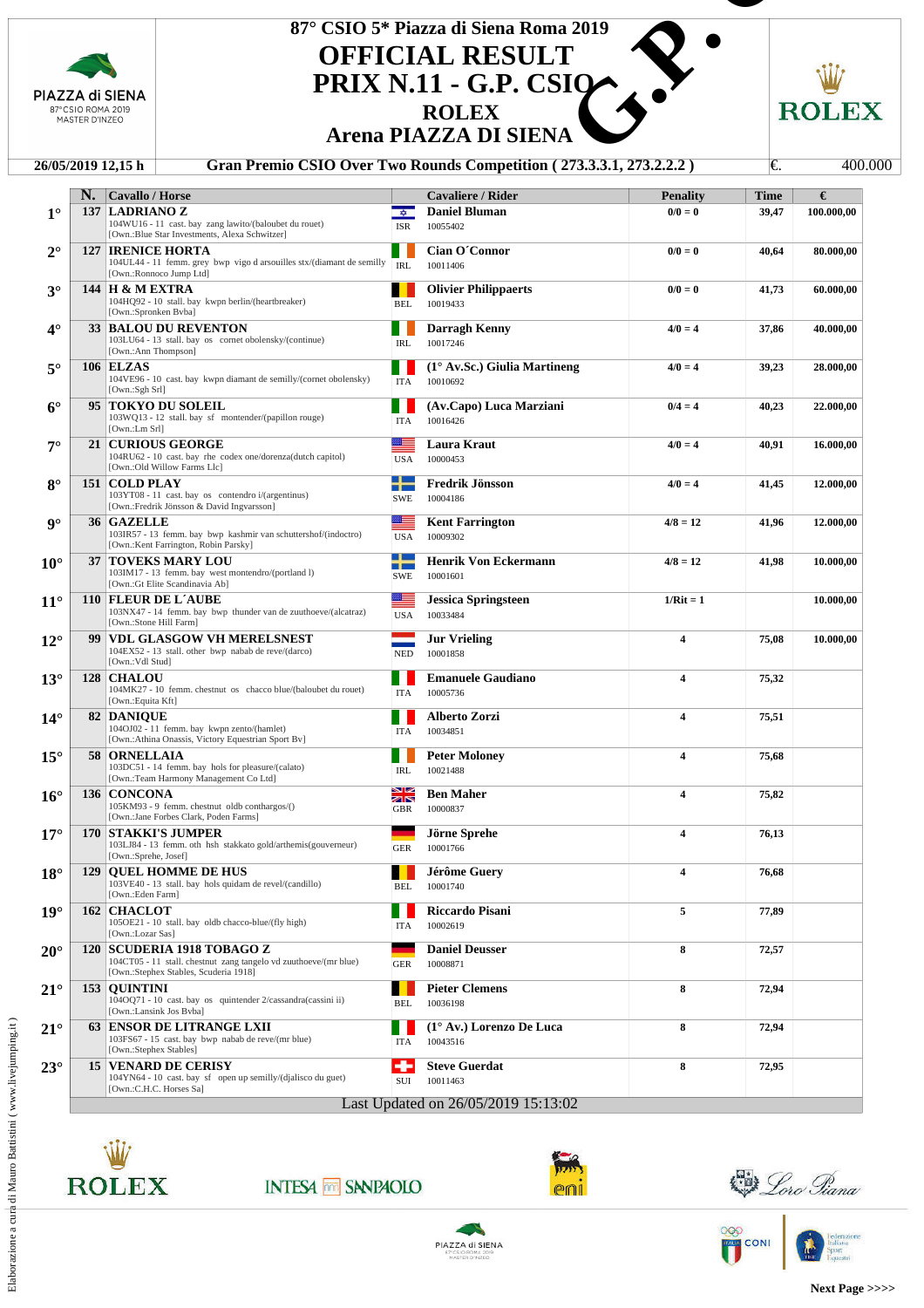| PIAZZA di SIENA<br>87°CSIO ROMA 2019<br>MASTER D'INZEO |    |                                                                                                                                                                               | 87° CSIO 5* Piazza di Siena Roma 2019<br><b>OFFICIAL RESULT</b><br><b>PRIX N.11 - G.P. CSIO-</b><br><b>ROLEX</b><br><b>Arena PIAZZA DI SIENA</b> |                                                                     |                         |       |                 |  |
|--------------------------------------------------------|----|-------------------------------------------------------------------------------------------------------------------------------------------------------------------------------|--------------------------------------------------------------------------------------------------------------------------------------------------|---------------------------------------------------------------------|-------------------------|-------|-----------------|--|
|                                                        |    | 26/05/2019 12,15 h                                                                                                                                                            |                                                                                                                                                  | Gran Premio CSIO Over Two Rounds Competition (273.3.3.1, 273.2.2.2) |                         | I€.   | 400.000         |  |
|                                                        | N. | Cavallo / Horse                                                                                                                                                               |                                                                                                                                                  | <b>Cavaliere / Rider</b>                                            | <b>Penality</b>         | Time  | €               |  |
| $1^{\circ}$                                            |    | 137 LADRIANO Z<br>104WU16 - 11 cast. bay zang lawito/(baloubet du rouet)                                                                                                      | $\frac{1}{2}$<br><b>ISR</b>                                                                                                                      | <b>Daniel Bluman</b><br>10055402                                    | $0/0 = 0$               | 39,47 | 100.000,00      |  |
| $2^{\circ}$                                            |    | [Own.:Blue Star Investments, Alexa Schwitzer]<br><b>127 IRENICE HORTA</b><br>104UL44 - 11 femm. grey bwp vigo d arsouilles stx/(diamant de semilly<br>[Own.:Ronnoco Jump Ltd] | <b>IRL</b>                                                                                                                                       | Cian O'Connor<br>10011406                                           | $0/0 = 0$               | 40,64 | 80.000,00       |  |
| $3^\circ$                                              |    | <b>144 H &amp; M EXTRA</b><br>104HQ92 - 10 stall. bay kwpn berlin/(heartbreaker)<br>[Own.:Spronken Bvba]                                                                      | . .<br><b>BEL</b>                                                                                                                                | <b>Olivier Philippaerts</b><br>10019433                             | $0/0 = 0$               | 41,73 | 60.000,00       |  |
| $4^\circ$                                              |    | <b>33 BALOU DU REVENTON</b><br>103LU64 - 13 stall. bay os cornet obolensky/(continue)                                                                                         | ш<br>IRL                                                                                                                                         | Darragh Kenny<br>10017246                                           | $4/0 = 4$               | 37,86 | 40.000,00       |  |
| $5^{\circ}$                                            |    | [Own.:Ann Thompson]<br>106 ELZAS<br>104VE96 - 10 cast. bay kwpn diamant de semilly/(cornet obolensky)<br>[Own.:Sgh Srl]                                                       | <b>ITA</b>                                                                                                                                       | $(1^{\circ}$ Av.Sc.) Giulia Martineng<br>10010692                   | $4/0 = 4$               | 39,23 | 28.000,00       |  |
| $6^\circ$                                              |    | 95 TOKYO DU SOLEIL<br>103WQ13 - 12 stall. bay sf montender/(papillon rouge)                                                                                                   | ITA                                                                                                                                              | (Av.Capo) Luca Marziani<br>10016426                                 | $0/4 = 4$               | 40,23 | 22.000,00       |  |
| $7^\circ$                                              |    | [Own.:Lm Srl]<br><b>21 CURIOUS GEORGE</b><br>104RU62 - 10 cast. bay rhe codex one/dorenza(dutch capitol)                                                                      | ▓▆<br><b>USA</b>                                                                                                                                 | <b>Laura Kraut</b><br>10000453                                      | $4/0 = 4$               | 40,91 | 16.000,00       |  |
| $8^\circ$                                              |    | [Own.:Old Willow Farms Llc]<br>151   COLD PLAY<br>103YT08 - 11 cast. bay os contendro i/(argentinus)<br>[Own.:Fredrik Jönsson & David Ingvarsson]                             | a t<br><b>TELEVISION</b><br><b>SWE</b>                                                                                                           | <b>Fredrik Jönsson</b><br>10004186                                  | $4/0 = 4$               | 41,45 | 12.000,00       |  |
| $\mathbf{9}^{\circ}$                                   |    | 36 GAZELLE<br>103IR57 - 13 femm. bay bwp kashmir van schuttershof/(indoctro)<br>[Own.:Kent Farrington, Robin Parsky]                                                          | <u> android</u><br>USA                                                                                                                           | <b>Kent Farrington</b><br>10009302                                  | $4/8 = 12$              |       | 41,96 12.000,00 |  |
| $10^{\circ}$                                           |    | <b>37 TOVEKS MARY LOU</b><br>103IM17 - 13 femm. bay west montendro/(portland I)<br>[Own.:Gt Elite Scandinavia Ab]                                                             | ╋<br><b>SWE</b>                                                                                                                                  | <b>Henrik Von Eckermann</b><br>10001601                             | $4/8 = 12$              | 41,98 | 10.000,00       |  |
| $11^{\circ}$                                           |    | 110 FLEUR DE L'AUBE<br>103NX47 - 14 femm. bay bwp thunder van de zuuthoeve/(alcatraz)<br>[Own.:Stone Hill Farm]                                                               | ≝≡<br><b>USA</b>                                                                                                                                 | <b>Jessica Springsteen</b><br>10033484                              | $1/Rit = 1$             |       | 10.000,00       |  |
| $12^{\circ}$                                           |    | 99 VDL GLASGOW VH MERELSNEST<br>104EX52 - 13 stall. other bwp nabab de reve/(darco)<br>[Own.:Vdl Stud]                                                                        | <b>NED</b>                                                                                                                                       | <b>Jur Vrieling</b><br>10001858                                     | 4                       | 75,08 | 10.000,00       |  |
| $13^\circ$                                             |    | <b>128 CHALOU</b><br>104MK27 - 10 femm. chestnut os chacco blue/(baloubet du rouet)<br>[Own.:Equita Kft]                                                                      | <b>ITA</b>                                                                                                                                       | <b>Emanuele Gaudiano</b><br>10005736                                | 4                       | 75,32 |                 |  |
| $14^{\circ}$                                           |    | <b>82 DANIOUE</b><br>104OJ02 - 11 femm. bay kwpn zento/(hamlet)<br>[Own.:Athina Onassis, Victory Equestrian Sport Bv]                                                         | a ka<br><b>ITA</b>                                                                                                                               | Alberto Zorzi<br>10034851                                           | 4                       | 75,51 |                 |  |
| $15^{\circ}$                                           |    | 58 ORNELLAIA<br>103DC51 - 14 femm. bay hols for pleasure/(calato)<br>[Own.:Team Harmony Management Co Ltd]                                                                    | ш<br><b>IRL</b>                                                                                                                                  | <b>Peter Moloney</b><br>10021488                                    | 4                       | 75,68 |                 |  |
| $16^{\circ}$                                           |    | 136 CONCONA<br>105KM93 - 9 femm. chestnut oldb conthargos/()<br>[Own.:Jane Forbes Clark, Poden Farms]                                                                         | NK<br>25<br><b>GBR</b>                                                                                                                           | <b>Ben Maher</b><br>10000837                                        | 4                       | 75,82 |                 |  |
| $17^{\circ}$                                           |    | <b>170 STAKKI'S JUMPER</b><br>103LJ84 - 13 femm. oth hsh stakkato gold/arthemis(gouverneur)<br>[Own.:Sprehe, Josef]                                                           | <b>GER</b>                                                                                                                                       | Jörne Sprehe<br>10001766                                            | 4                       | 76,13 |                 |  |
| $18^\circ$                                             |    | <b>129 OUEL HOMME DE HUS</b><br>103VE40 - 13 stall. bay hols quidam de revel/(candillo)<br>[Own.:Eden Farm]                                                                   | ш<br>BEL                                                                                                                                         | Jérôme Guery<br>10001740                                            | $\overline{\mathbf{4}}$ | 76,68 |                 |  |
| $19^\circ$                                             |    | <b>162 CHACLOT</b><br>105OE21 - 10 stall. bay oldb chacco-blue/(fly high)<br>[Own.:Lozar Sas]                                                                                 | a ka<br><b>ITA</b>                                                                                                                               | Riccardo Pisani<br>10002619                                         | 5                       | 77,89 |                 |  |
| $20^{\circ}$                                           |    | 120 SCUDERIA 1918 TOBAGO Z<br>104CT05 - 11 stall. chestnut zang tangelo vd zuuthoeve/(mr blue)<br>[Own.:Stephex Stables, Scuderia 1918]                                       | ۰<br><b>GER</b>                                                                                                                                  | <b>Daniel Deusser</b><br>10008871                                   | 8                       | 72,57 |                 |  |
| $21^{\circ}$                                           |    | <b>153 OUINTINI</b><br>104OQ71 - 10 cast. bay os quintender 2/cassandra(cassini ii)<br>[Own.:Lansink Jos Byba]                                                                | BEL                                                                                                                                              | <b>Pieter Clemens</b><br>10036198                                   | 8                       | 72,94 |                 |  |
| $21^{\circ}$                                           |    | <b>63 ENSOR DE LITRANGE LXII</b><br>103FS67 - 15 cast. bay bwp nabab de reve/(mr blue)<br>[Own.:Stephex Stables]                                                              | a ka<br><b>ITA</b>                                                                                                                               | $(1^\circ \text{ Av.})$ Lorenzo De Luca<br>10043516                 | 8                       | 72,94 |                 |  |
| $23^\circ$                                             |    | <b>15 VENARD DE CERISY</b><br>104YN64 - 10 cast. bay sf open up semilly/(djalisco du guet)                                                                                    | ۰<br>$\rm SUI$                                                                                                                                   | <b>Steve Guerdat</b><br>10011463                                    | 8                       | 72,95 |                 |  |







 $\blacktriangleleft$ 

PIAZZA di SIENA

Doro Piana